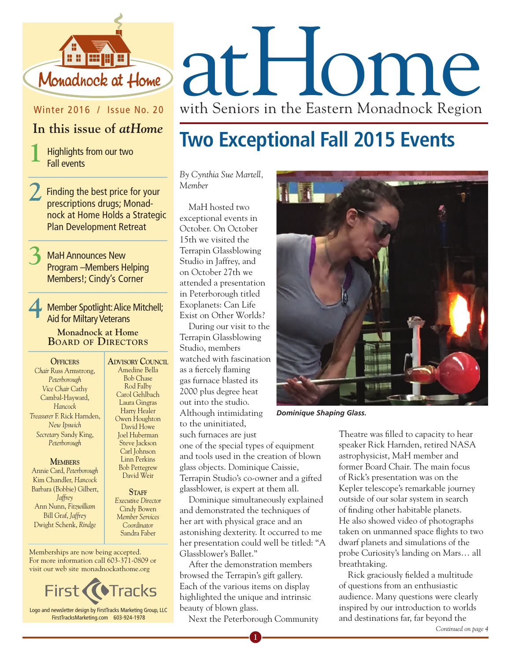

## Winter 2016 / Issue No. 20

## **In this issue of** *atHome*

**1** Highlights from our two Fall events

- **2**Finding the best price for your prescriptions drugs; Monadnock at Home Holds a Strategic Plan Development Retreat
- **3** MaH Announces New Program –Members Helping Members!; Cindy's Corner

**4** Member Spotlight: Alice Mitchell; Aid for Miltary Veterans **Monadnock at Home Board of Directors**

**Officers** *Chair* Russ Armstrong, *Peterborough Vice Chair* Cathy Cambal-Hayward, *Hancock Treasurer* F. Rick Harnden, *New Ipswich Secretary* Sandy King, *Peterborough*

#### **Members**

Annie Card, *Peterborough* Kim Chandler, *Hancock* Barbara (Bobbie) Gilbert, *Jaffrey* Ann Nunn, *Fitzwilliam* Bill Graf, *Jaffrey* Dwight Schenk, *Rindge*

Amedine Bella Bob Chase Rod Falby Carol Gehlbach Laura Gingras Harry Healer Owen Houghton David Howe Joel Huberman Steve Jackson Carl Johnson Linn Perkins Bob Pettegrew David Weir

*Executive Director* Cindy Bowen *Member Services Coordinator*  Sandra Faber

Memberships are now being accepted. For more information call 603-371-0809 or visit our web site monadnockathome.org



**Advisory Council**

# STAFF

glass objects. Dominique Caissie, Terrapin Studio's co-owner and a gifted glassblower, is expert at them all.

one of the special types of equipment and tools used in the creation of blown

*By Cynthia Sue Martell,* 

MaH hosted two exceptional events in October. On October 15th we visited the Terrapin Glassblowing Studio in Jaffrey, and on October 27th we attended a presentation in Peterborough titled Exoplanets: Can Life Exist on Other Worlds?

Terrapin Glassblowing Studio, members

as a fiercely flaming gas furnace blasted its 2000 plus degree heat out into the studio. Although intimidating to the uninitiated, such furnaces are just

*Member*

Dominique simultaneously explained and demonstrated the techniques of her art with physical grace and an astonishing dexterity. It occurred to me her presentation could well be titled: "A Glassblower's Ballet."

After the demonstration members browsed the Terrapin's gift gallery. Each of the various items on display highlighted the unique and intrinsic beauty of blown glass.

Next the Peterborough Community

**1**



*Dominique Shaping Glass.*

**Two Exceptional Fall 2015 Events**

Theatre was filled to capacity to hear speaker Rick Harnden, retired NASA astrophysicist, MaH member and former Board Chair. The main focus of Rick's presentation was on the Kepler telescope's remarkable journey outside of our solar system in search of finding other habitable planets. He also showed video of photographs taken on unmanned space flights to two dwarf planets and simulations of the probe Curiosity's landing on Mars… all breathtaking.

Rick graciously fielded a multitude of questions from an enthusiastic audience. Many questions were clearly inspired by our introduction to worlds and destinations far, far beyond the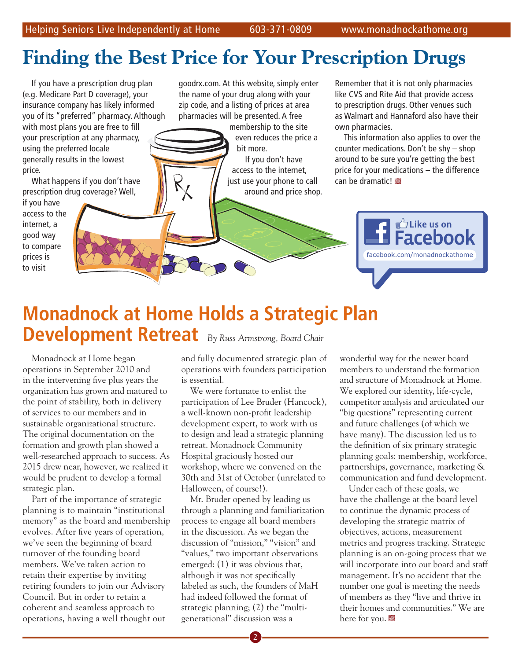## **Finding the Best Price for Your Prescription Drugs**

If you have a prescription drug plan (e.g. Medicare Part D coverage), your insurance company has likely informed you of its "preferred" pharmacy. Although with most plans you are free to fill

your prescription at any pharmacy, using the preferred locale generally results in the lowest price.

What happens if you don't have prescription drug coverage? Well,

if you have access to the internet, a good way to compare prices is to visit

goodrx.com. At this website, simply enter the name of your drug along with your zip code, and a listing of prices at area pharmacies will be presented. A free

> membership to the site even reduces the price a bit more.

If you don't have access to the internet, just use your phone to call around and price shop.

Remember that it is not only pharmacies like CVS and Rite Aid that provide access to prescription drugs. Other venues such as Walmart and Hannaford also have their own pharmacies.

This information also applies to over the counter medications. Don't be shy – shop around to be sure you're getting the best price for your medications – the difference  $can be dramatic!$ 



## **Monadnock at Home Holds a Strategic Plan Development Retreat** *By Russ Armstrong, Board Chair*

Monadnock at Home began operations in September 2010 and in the intervening five plus years the organization has grown and matured to the point of stability, both in delivery of services to our members and in sustainable organizational structure. The original documentation on the formation and growth plan showed a well-researched approach to success. As 2015 drew near, however, we realized it would be prudent to develop a formal strategic plan.

Part of the importance of strategic planning is to maintain "institutional memory" as the board and membership evolves. After five years of operation, we've seen the beginning of board turnover of the founding board members. We've taken action to retain their expertise by inviting retiring founders to join our Advisory Council. But in order to retain a coherent and seamless approach to operations, having a well thought out

and fully documented strategic plan of operations with founders participation is essential.

We were fortunate to enlist the participation of Lee Bruder (Hancock), a well-known non-profit leadership development expert, to work with us to design and lead a strategic planning retreat. Monadnock Community Hospital graciously hosted our workshop, where we convened on the 30th and 31st of October (unrelated to Halloween, of course!).

Mr. Bruder opened by leading us through a planning and familiarization process to engage all board members in the discussion. As we began the discussion of "mission," "vision" and "values," two important observations emerged: (1) it was obvious that, although it was not specifically labeled as such, the founders of MaH had indeed followed the format of strategic planning; (2) the "multigenerational" discussion was a

wonderful way for the newer board members to understand the formation and structure of Monadnock at Home. We explored our identity, life-cycle, competitor analysis and articulated our "big questions" representing current and future challenges (of which we have many). The discussion led us to the definition of six primary strategic planning goals: membership, workforce, partnerships, governance, marketing & communication and fund development.

Under each of these goals, we have the challenge at the board level to continue the dynamic process of developing the strategic matrix of objectives, actions, measurement metrics and progress tracking. Strategic planning is an on-going process that we will incorporate into our board and staff management. It's no accident that the number one goal is meeting the needs of members as they "live and thrive in their homes and communities." We are here for you.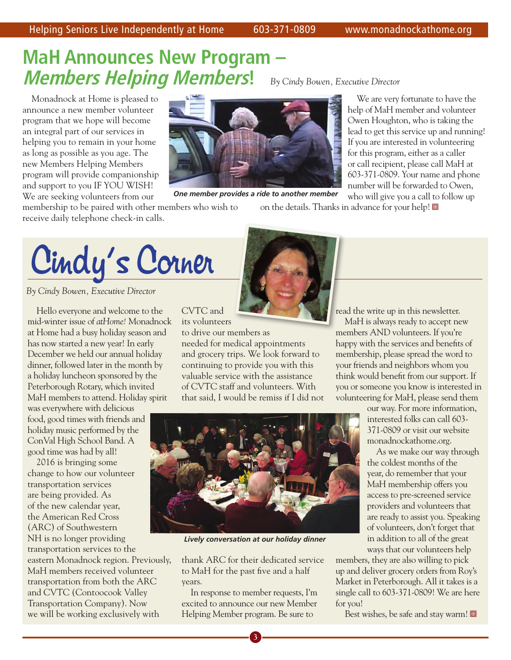## **MaH Announces New Program – Members Helping Members!** *By Cindy Bowen, Executive Director*

Monadnock at Home is pleased to announce a new member volunteer program that we hope will become an integral part of our services in helping you to remain in your home as long as possible as you age. The new Members Helping Members program will provide companionship and support to you IF YOU WISH! We are seeking volunteers from our

receive daily telephone check-in calls.

membership to be paired with other members who wish to *One member provides a ride to another member*

We are very fortunate to have the help of MaH member and volunteer Owen Houghton, who is taking the lead to get this service up and running! If you are interested in volunteering for this program, either as a caller or call recipient, please call MaH at 603-371-0809. Your name and phone number will be forwarded to Owen, who will give you a call to follow up

on the details. Thanks in advance for your help!

Cindy's Corner

*By Cindy Bowen, Executive Director* 

Hello everyone and welcome to the mid-winter issue of *atHome!* Monadnock at Home had a busy holiday season and has now started a new year! In early December we held our annual holiday dinner, followed later in the month by a holiday luncheon sponsored by the Peterborough Rotary, which invited MaH members to attend. Holiday spirit was everywhere with delicious

food, good times with friends and holiday music performed by the ConVal High School Band. A good time was had by all!

2016 is bringing some change to how our volunteer transportation services are being provided. As of the new calendar year, the American Red Cross (ARC) of Southwestern NH is no longer providing transportation services to the eastern Monadnock region. Previously, MaH members received volunteer transportation from both the ARC and CVTC (Contoocook Valley Transportation Company). Now we will be working exclusively with



CVTC and its volunteers

to drive our members as needed for medical appointments and grocery trips. We look forward to continuing to provide you with this valuable service with the assistance of CVTC staff and volunteers. With that said, I would be remiss if I did not read the write up in this newsletter.

MaH is always ready to accept new members AND volunteers. If you're happy with the services and benefits of membership, please spread the word to your friends and neighbors whom you think would benefit from our support. If you or someone you know is interested in volunteering for MaH, please send them

our way. For more information,

interested folks can call 603- 371-0809 or visit our website monadnockathome.org.

As we make our way through the coldest months of the year, do remember that your MaH membership offers you access to pre-screened service providers and volunteers that are ready to assist you. Speaking of volunteers, don't forget that in addition to all of the great ways that our volunteers help

members, they are also willing to pick up and deliver grocery orders from Roy's Market in Peterborough. All it takes is a single call to 603-371-0809! We are here for you!

Best wishes, be safe and stay warm!



*Lively conversation at our holiday dinner*

thank ARC for their dedicated service to MaH for the past five and a half years.

In response to member requests, I'm excited to announce our new Member Helping Member program. Be sure to